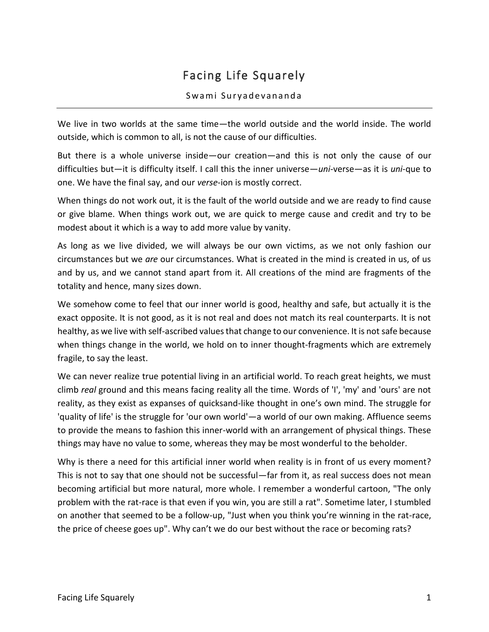## Facing Life Squarely

## Swami Suryadevananda

We live in two worlds at the same time—the world outside and the world inside. The world outside, which is common to all, is not the cause of our difficulties.

But there is a whole universe inside—our creation—and this is not only the cause of our difficulties but—it is difficulty itself. I call this the inner universe—*uni*-verse—as it is *uni*-que to one. We have the final say, and our *verse*-ion is mostly correct.

When things do not work out, it is the fault of the world outside and we are ready to find cause or give blame. When things work out, we are quick to merge cause and credit and try to be modest about it which is a way to add more value by vanity.

As long as we live divided, we will always be our own victims, as we not only fashion our circumstances but we *are* our circumstances. What is created in the mind is created in us, of us and by us, and we cannot stand apart from it. All creations of the mind are fragments of the totality and hence, many sizes down.

We somehow come to feel that our inner world is good, healthy and safe, but actually it is the exact opposite. It is not good, as it is not real and does not match its real counterparts. It is not healthy, as we live with self-ascribed values that change to our convenience. It is not safe because when things change in the world, we hold on to inner thought-fragments which are extremely fragile, to say the least.

We can never realize true potential living in an artificial world. To reach great heights, we must climb *real* ground and this means facing reality all the time. Words of 'I', 'my' and 'ours' are not reality, as they exist as expanses of quicksand-like thought in one's own mind. The struggle for 'quality of life' is the struggle for 'our own world'—a world of our own making. Affluence seems to provide the means to fashion this inner-world with an arrangement of physical things. These things may have no value to some, whereas they may be most wonderful to the beholder.

Why is there a need for this artificial inner world when reality is in front of us every moment? This is not to say that one should not be successful—far from it, as real success does not mean becoming artificial but more natural, more whole. I remember a wonderful cartoon, "The only problem with the rat-race is that even if you win, you are still a rat". Sometime later, I stumbled on another that seemed to be a follow-up, "Just when you think you're winning in the rat-race, the price of cheese goes up". Why can't we do our best without the race or becoming rats?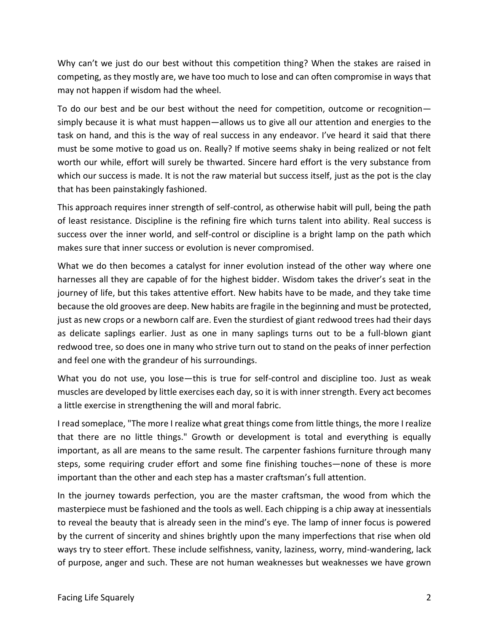Why can't we just do our best without this competition thing? When the stakes are raised in competing, as they mostly are, we have too much to lose and can often compromise in ways that may not happen if wisdom had the wheel.

To do our best and be our best without the need for competition, outcome or recognition simply because it is what must happen—allows us to give all our attention and energies to the task on hand, and this is the way of real success in any endeavor. I've heard it said that there must be some motive to goad us on. Really? If motive seems shaky in being realized or not felt worth our while, effort will surely be thwarted. Sincere hard effort is the very substance from which our success is made. It is not the raw material but success itself, just as the pot is the clay that has been painstakingly fashioned.

This approach requires inner strength of self-control, as otherwise habit will pull, being the path of least resistance. Discipline is the refining fire which turns talent into ability. Real success is success over the inner world, and self-control or discipline is a bright lamp on the path which makes sure that inner success or evolution is never compromised.

What we do then becomes a catalyst for inner evolution instead of the other way where one harnesses all they are capable of for the highest bidder. Wisdom takes the driver's seat in the journey of life, but this takes attentive effort. New habits have to be made, and they take time because the old grooves are deep. New habits are fragile in the beginning and must be protected, just as new crops or a newborn calf are. Even the sturdiest of giant redwood trees had their days as delicate saplings earlier. Just as one in many saplings turns out to be a full-blown giant redwood tree, so does one in many who strive turn out to stand on the peaks of inner perfection and feel one with the grandeur of his surroundings.

What you do not use, you lose—this is true for self-control and discipline too. Just as weak muscles are developed by little exercises each day, so it is with inner strength. Every act becomes a little exercise in strengthening the will and moral fabric.

I read someplace, "The more I realize what great things come from little things, the more I realize that there are no little things." Growth or development is total and everything is equally important, as all are means to the same result. The carpenter fashions furniture through many steps, some requiring cruder effort and some fine finishing touches—none of these is more important than the other and each step has a master craftsman's full attention.

In the journey towards perfection, you are the master craftsman, the wood from which the masterpiece must be fashioned and the tools as well. Each chipping is a chip away at inessentials to reveal the beauty that is already seen in the mind's eye. The lamp of inner focus is powered by the current of sincerity and shines brightly upon the many imperfections that rise when old ways try to steer effort. These include selfishness, vanity, laziness, worry, mind-wandering, lack of purpose, anger and such. These are not human weaknesses but weaknesses we have grown